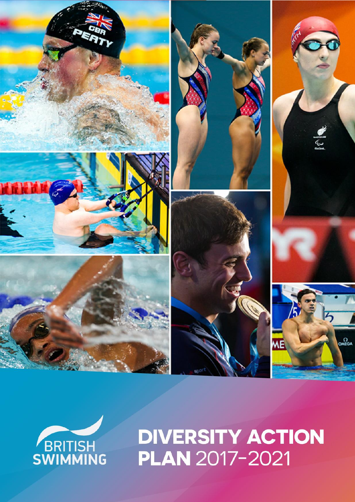



# **DIVERSITY ACTION PLAN 2017-2021**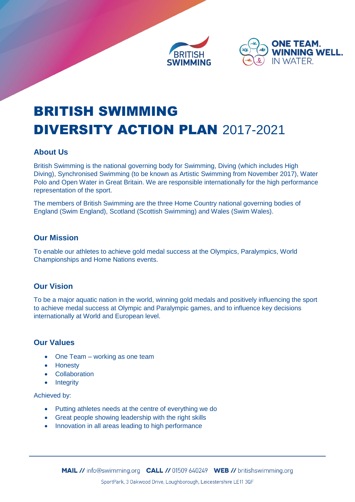



# BRITISH SWIMMING DIVERSITY ACTION PLAN 2017-2021

#### **About Us**

British Swimming is the national governing body for Swimming, Diving (which includes High Diving), Synchronised Swimming (to be known as Artistic Swimming from November 2017), Water Polo and Open Water in Great Britain. We are responsible internationally for the high performance representation of the sport.

The members of British Swimming are the three Home Country national governing bodies of England (Swim England), Scotland (Scottish Swimming) and Wales (Swim Wales).

#### **Our Mission**

To enable our athletes to achieve gold medal success at the Olympics, Paralympics, World Championships and Home Nations events.

#### **Our Vision**

To be a major aquatic nation in the world, winning gold medals and positively influencing the sport to achieve medal success at Olympic and Paralympic games, and to influence key decisions internationally at World and European level.

#### **Our Values**

- One Team working as one team
- Honesty
- Collaboration
- Integrity

Achieved by:

- Putting athletes needs at the centre of everything we do
- Great people showing leadership with the right skills
- Innovation in all areas leading to high performance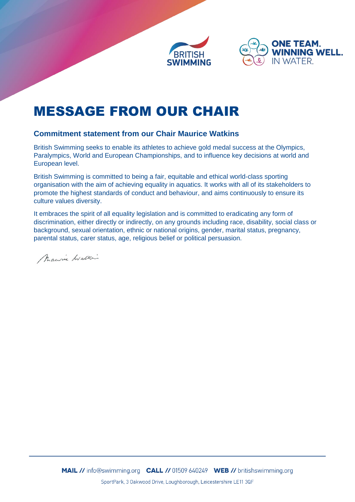



### MESSAGE FROM OUR CHAIR

#### **Commitment statement from our Chair Maurice Watkins**

British Swimming seeks to enable its athletes to achieve gold medal success at the Olympics, Paralympics, World and European Championships, and to influence key decisions at world and European level.

British Swimming is committed to being a fair, equitable and ethical world-class sporting organisation with the aim of achieving equality in aquatics. It works with all of its stakeholders to promote the highest standards of conduct and behaviour, and aims continuously to ensure its culture values diversity.

It embraces the spirit of all equality legislation and is committed to eradicating any form of discrimination, either directly or indirectly, on any grounds including race, disability, social class or background, sexual orientation, ethnic or national origins, gender, marital status, pregnancy, parental status, carer status, age, religious belief or political persuasion.

Maurice Watter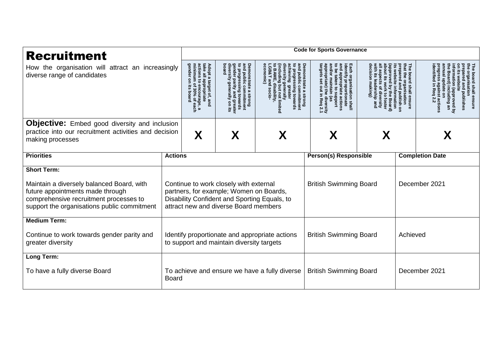| <b>Recruitment</b><br>How the organisation will attract an increasingly<br>diverse range of candidates                                                                 |                                                                                                                                                                                                             | <b>Code for Sports Governance</b>                                                                                                |                                                                                                                                                      |                                                                                      |                                                                                                                                                                                    |                                                                                                                                                                                                        |               |                                                                                                                                                   |  |  |
|------------------------------------------------------------------------------------------------------------------------------------------------------------------------|-------------------------------------------------------------------------------------------------------------------------------------------------------------------------------------------------------------|----------------------------------------------------------------------------------------------------------------------------------|------------------------------------------------------------------------------------------------------------------------------------------------------|--------------------------------------------------------------------------------------|------------------------------------------------------------------------------------------------------------------------------------------------------------------------------------|--------------------------------------------------------------------------------------------------------------------------------------------------------------------------------------------------------|---------------|---------------------------------------------------------------------------------------------------------------------------------------------------|--|--|
|                                                                                                                                                                        |                                                                                                                                                                                                             | take all .<br>actions<br>Adopt a<br>l appropriate<br>s to encourag<br>target of,<br>courage.<br>0% of ea<br>and<br>ae, a<br>each | diversity<br>board<br>Demonstrate a strong<br>and public commitment<br>to progressing towards<br>gender parity and greate<br>96<br>greate<br>$\circ$ | ក្ខិ<br>public<br>aress<br>ate a strong<br>: commitment<br>sing towards<br>: limited | Each organisation shall<br>identify proportionate<br><b>Demonstrate a</b><br>nd/or maintain<br>$\frac{4}{5}$<br>taken<br>õ<br>ate actions<br>anddns<br>(as<br>liversity<br>Req 2.1 | that the<br>The board<br>repared<br>website<br>organisation<br>lead<br>٩L<br>ą<br>shall<br>of diversity<br>nd publish o<br>information<br>ers<br>ಕ<br>ensure<br>ত<br><b>Board</b><br>foster<br>$\circ$ |               | $\overline{a}$<br>board shall ensure<br>organisation<br>ared<br>and publishes<br>including an<br>(approved by<br>Req 2.<br>$\mathsf S$<br>actions |  |  |
| <b>Objective:</b> Embed good diversity and inclusion                                                                                                                   |                                                                                                                                                                                                             |                                                                                                                                  |                                                                                                                                                      |                                                                                      |                                                                                                                                                                                    |                                                                                                                                                                                                        |               |                                                                                                                                                   |  |  |
| practice into our recruitment activities and decision<br>making processes                                                                                              |                                                                                                                                                                                                             | X                                                                                                                                | X                                                                                                                                                    | Χ                                                                                    | Χ                                                                                                                                                                                  |                                                                                                                                                                                                        |               |                                                                                                                                                   |  |  |
| <b>Priorities</b>                                                                                                                                                      | <b>Actions</b>                                                                                                                                                                                              |                                                                                                                                  |                                                                                                                                                      | <b>Person(s) Responsible</b>                                                         |                                                                                                                                                                                    | <b>Completion Date</b>                                                                                                                                                                                 |               |                                                                                                                                                   |  |  |
| <b>Short Term:</b>                                                                                                                                                     |                                                                                                                                                                                                             |                                                                                                                                  |                                                                                                                                                      |                                                                                      |                                                                                                                                                                                    |                                                                                                                                                                                                        |               |                                                                                                                                                   |  |  |
| Maintain a diversely balanced Board, with<br>future appointments made through<br>comprehensive recruitment processes to<br>support the organisations public commitment | <b>British Swimming Board</b><br>Continue to work closely with external<br>partners, for example; Women on Boards,<br>Disability Confident and Sporting Equals, to<br>attract new and diverse Board members |                                                                                                                                  |                                                                                                                                                      |                                                                                      |                                                                                                                                                                                    |                                                                                                                                                                                                        | December 2021 |                                                                                                                                                   |  |  |
| <b>Medium Term:</b>                                                                                                                                                    |                                                                                                                                                                                                             |                                                                                                                                  |                                                                                                                                                      |                                                                                      |                                                                                                                                                                                    |                                                                                                                                                                                                        |               |                                                                                                                                                   |  |  |
| Continue to work towards gender parity and<br>greater diversity                                                                                                        | Identify proportionate and appropriate actions<br>to support and maintain diversity targets                                                                                                                 |                                                                                                                                  |                                                                                                                                                      |                                                                                      | <b>British Swimming Board</b>                                                                                                                                                      |                                                                                                                                                                                                        |               | Achieved                                                                                                                                          |  |  |
| Long Term:                                                                                                                                                             |                                                                                                                                                                                                             |                                                                                                                                  |                                                                                                                                                      |                                                                                      |                                                                                                                                                                                    |                                                                                                                                                                                                        |               |                                                                                                                                                   |  |  |
| To have a fully diverse Board                                                                                                                                          | <b>British Swimming Board</b><br>To achieve and ensure we have a fully diverse<br>December 2021<br><b>Board</b>                                                                                             |                                                                                                                                  |                                                                                                                                                      |                                                                                      |                                                                                                                                                                                    |                                                                                                                                                                                                        |               |                                                                                                                                                   |  |  |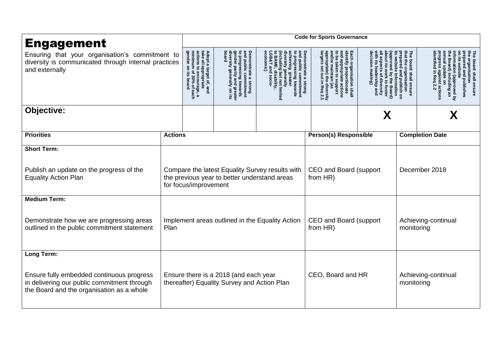| <b>Engagement</b><br>Ensuring that your organisation's commitment to<br>diversity is communicated through internal practices<br>and externally      |                                                         | <b>Code for Sports Governance</b>                                                                                          |                                                                                                                                             |                                                                                                                                                                                                 |                                                                                                                                                                                                                                      |                                                                                                                                                                 |                                   |                                                                                                                                                                                          |  |  |
|-----------------------------------------------------------------------------------------------------------------------------------------------------|---------------------------------------------------------|----------------------------------------------------------------------------------------------------------------------------|---------------------------------------------------------------------------------------------------------------------------------------------|-------------------------------------------------------------------------------------------------------------------------------------------------------------------------------------------------|--------------------------------------------------------------------------------------------------------------------------------------------------------------------------------------------------------------------------------------|-----------------------------------------------------------------------------------------------------------------------------------------------------------------|-----------------------------------|------------------------------------------------------------------------------------------------------------------------------------------------------------------------------------------|--|--|
|                                                                                                                                                     |                                                         | Adopt a target of, and<br>take all appropriate<br>actions to encourage, a<br>minimum of 30% of each<br>gender on its board | Demonstrate a strong<br>and public commitment<br>to progressing towards<br>gender parity and greater<br>diversity generally on its<br>board | <b>Includin</b><br>conomic<br><b>GB&amp;T</b><br><b>ivers</b><br>hieving<br>ublic<br>gress<br>gen<br>but not limited<br><b>areate</b><br>ate a strong<br>: commitment<br>sing towards<br>erally | appropriate)<br>targets set o<br><b>Demonstrate</b><br>and/or maintain (as<br>and appropri<br>Each organisation shall<br>identify proportionate<br>ō<br>taken<br>$\vec{c}$<br>late<br>puoddns<br>, diversity<br>n Req 2.1<br>actions | The board shall ensure<br>that the organisation<br>repared<br>website<br>proved<br>ē.<br>and<br>ą<br>of di<br>₿<br>publish on<br>ormation<br>\$<br><b>Board</b> |                                   | organisation<br>board shall ensure<br>mation<br>website<br>8<br>and publishes<br>on (approved by<br>) including an<br>stricteding an<br>Req<br>ie on<br>inst actions<br>$\overline{2.2}$ |  |  |
| Objective:                                                                                                                                          |                                                         |                                                                                                                            |                                                                                                                                             |                                                                                                                                                                                                 | X                                                                                                                                                                                                                                    |                                                                                                                                                                 |                                   | X                                                                                                                                                                                        |  |  |
| <b>Priorities</b>                                                                                                                                   | <b>Actions</b>                                          |                                                                                                                            |                                                                                                                                             |                                                                                                                                                                                                 | <b>Person(s) Responsible</b>                                                                                                                                                                                                         |                                                                                                                                                                 | <b>Completion Date</b>            |                                                                                                                                                                                          |  |  |
| <b>Short Term:</b><br>Publish an update on the progress of the<br><b>Equality Action Plan</b>                                                       |                                                         | for focus/improvement                                                                                                      | the previous year to better understand areas                                                                                                | Compare the latest Equality Survey results with                                                                                                                                                 | CEO and Board (support<br>from HR)                                                                                                                                                                                                   |                                                                                                                                                                 | December 2018                     |                                                                                                                                                                                          |  |  |
| <b>Medium Term:</b><br>Demonstrate how we are progressing areas<br>outlined in the public commitment statement                                      | Implement areas outlined in the Equality Action<br>Plan |                                                                                                                            |                                                                                                                                             |                                                                                                                                                                                                 | CEO and Board (support<br>from HR)                                                                                                                                                                                                   |                                                                                                                                                                 | Achieving-continual<br>monitoring |                                                                                                                                                                                          |  |  |
| Long Term:<br>Ensure fully embedded continuous progress<br>in delivering our public commitment through<br>the Board and the organisation as a whole |                                                         |                                                                                                                            | Ensure there is a 2018 (and each year<br>thereafter) Equality Survey and Action Plan                                                        | CEO, Board and HR                                                                                                                                                                               |                                                                                                                                                                                                                                      |                                                                                                                                                                 | Achieving-continual<br>monitoring |                                                                                                                                                                                          |  |  |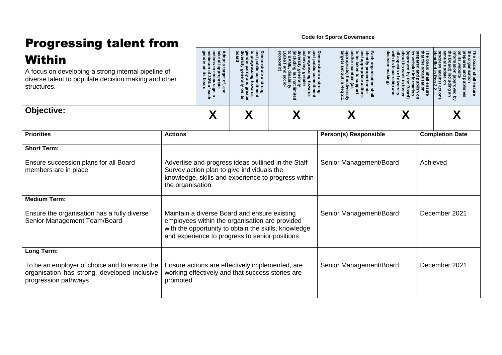| <b>Progressing talent from</b>                                                                                                       |                                                                                                                                                                                                                                     | <b>Code for Sports Governance</b>                                                                                                      |                                                                                                                                                                                                                      |                                                                                                           |                                                                                                                                                            |                                                                             |               |                                                                                       |  |  |
|--------------------------------------------------------------------------------------------------------------------------------------|-------------------------------------------------------------------------------------------------------------------------------------------------------------------------------------------------------------------------------------|----------------------------------------------------------------------------------------------------------------------------------------|----------------------------------------------------------------------------------------------------------------------------------------------------------------------------------------------------------------------|-----------------------------------------------------------------------------------------------------------|------------------------------------------------------------------------------------------------------------------------------------------------------------|-----------------------------------------------------------------------------|---------------|---------------------------------------------------------------------------------------|--|--|
| Within<br>A focus on developing a strong internal pipeline of<br>diverse talent to populate decision making and other<br>structures. |                                                                                                                                                                                                                                     | Adopt a target of, and<br>take all appropriate<br>actions to encourage, a<br>minimum of 30% of each<br>genaer<br>$\mathbf{S}$<br>poard | to prog<br>gender<br>diversity<br>board<br>Demonstrate a strong<br>and public commitment<br>to progressing towards<br>gender parity and greate<br>gen<br>commitment<br>era<br>l greatel<br>y on its<br>$\frac{9}{2}$ | vers<br>public<br>ing greate<br>န္စ<br>commitmen<br>Lowa<br><b>GS</b>                                     | Demonstrate a<br>ach organisation shall<br>oudde<br>proportionate<br>propriate actions<br>$\vec{0}$<br>proddins<br><b>Strong</b><br>diversity<br>n Req 2.1 | board shall<br>publish or<br>sation<br>៊<br>mation<br>ensure<br><b>Soar</b> |               | board shall ensure<br>isation<br>publishes<br>approved by<br>cluding an<br>st actions |  |  |
| Objective:                                                                                                                           | X                                                                                                                                                                                                                                   | X                                                                                                                                      | X                                                                                                                                                                                                                    | X                                                                                                         | X                                                                                                                                                          |                                                                             |               |                                                                                       |  |  |
| <b>Priorities</b>                                                                                                                    | <b>Actions</b>                                                                                                                                                                                                                      |                                                                                                                                        |                                                                                                                                                                                                                      |                                                                                                           | <b>Person(s) Responsible</b>                                                                                                                               |                                                                             |               | <b>Completion Date</b>                                                                |  |  |
| <b>Short Term:</b>                                                                                                                   |                                                                                                                                                                                                                                     |                                                                                                                                        |                                                                                                                                                                                                                      |                                                                                                           |                                                                                                                                                            |                                                                             |               |                                                                                       |  |  |
| Ensure succession plans for all Board<br>members are in place                                                                        | the organisation                                                                                                                                                                                                                    |                                                                                                                                        | Survey action plan to give individuals the                                                                                                                                                                           | Advertise and progress ideas outlined in the Staff<br>knowledge, skills and experience to progress within | Senior Management/Board                                                                                                                                    |                                                                             |               | Achieved                                                                              |  |  |
| <b>Medium Term:</b>                                                                                                                  |                                                                                                                                                                                                                                     |                                                                                                                                        |                                                                                                                                                                                                                      |                                                                                                           |                                                                                                                                                            |                                                                             |               |                                                                                       |  |  |
| Ensure the organisation has a fully diverse<br>Senior Management Team/Board                                                          | Senior Management/Board<br>Maintain a diverse Board and ensure existing<br>employees within the organisation are provided<br>with the opportunity to obtain the skills, knowledge<br>and experience to progress to senior positions |                                                                                                                                        |                                                                                                                                                                                                                      |                                                                                                           |                                                                                                                                                            |                                                                             | December 2021 |                                                                                       |  |  |
| Long Term:                                                                                                                           |                                                                                                                                                                                                                                     |                                                                                                                                        |                                                                                                                                                                                                                      |                                                                                                           |                                                                                                                                                            |                                                                             |               |                                                                                       |  |  |
| To be an employer of choice and to ensure the<br>organisation has strong, developed inclusive<br>progression pathways                | Ensure actions are effectively implemented, are<br>working effectively and that success stories are<br>promoted                                                                                                                     |                                                                                                                                        |                                                                                                                                                                                                                      |                                                                                                           | Senior Management/Board                                                                                                                                    |                                                                             |               | December 2021                                                                         |  |  |